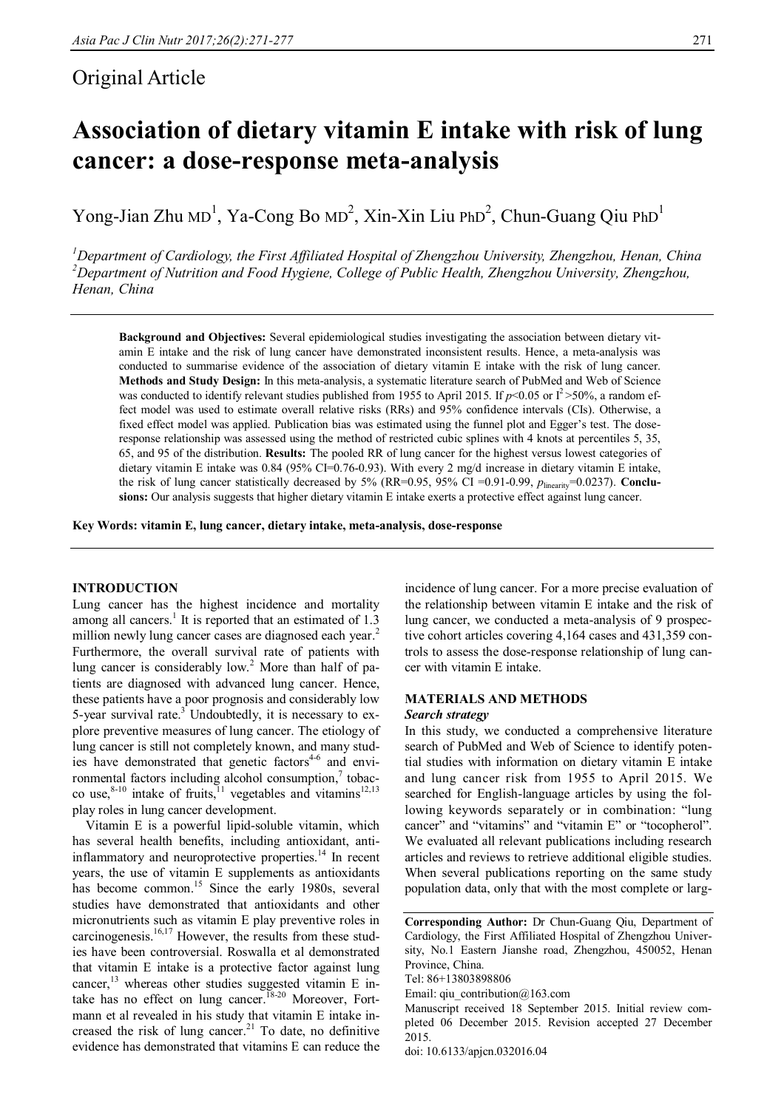# Original Article

# **Association of dietary vitamin E intake with risk of lung cancer: a dose-response meta-analysis**

Yong-Jian Zhu MD<sup>1</sup>, Ya-Cong Bo MD<sup>2</sup>, Xin-Xin Liu PhD<sup>2</sup>, Chun-Guang Qiu PhD<sup>1</sup>

*<sup>1</sup>Department of Cardiology, the First Affiliated Hospital of Zhengzhou University, Zhengzhou, Henan, China <sup>2</sup>Department of Nutrition and Food Hygiene, College of Public Health, Zhengzhou University, Zhengzhou, Henan, China*

**Background and Objectives:** Several epidemiological studies investigating the association between dietary vitamin E intake and the risk of lung cancer have demonstrated inconsistent results. Hence, a meta-analysis was conducted to summarise evidence of the association of dietary vitamin E intake with the risk of lung cancer. **Methods and Study Design:** In this meta-analysis, a systematic literature search of PubMed and Web of Science was conducted to identify relevant studies published from 1955 to April 2015. If  $p<0.05$  or  $1^2>50\%$ , a random effect model was used to estimate overall relative risks (RRs) and 95% confidence intervals (CIs). Otherwise, a fixed effect model was applied. Publication bias was estimated using the funnel plot and Egger's test. The doseresponse relationship was assessed using the method of restricted cubic splines with 4 knots at percentiles 5, 35, 65, and 95 of the distribution. **Results:** The pooled RR of lung cancer for the highest versus lowest categories of dietary vitamin E intake was 0.84 (95% CI=0.76-0.93). With every 2 mg/d increase in dietary vitamin E intake, the risk of lung cancer statistically decreased by 5% (RR=0.95, 95% CI =0.91-0.99,  $p_{\text{linearity}}$ =0.0237). **Conclusions:** Our analysis suggests that higher dietary vitamin E intake exerts a protective effect against lung cancer.

**Key Words: vitamin E, lung cancer, dietary intake, meta-analysis, dose-response**

# **INTRODUCTION**

Lung cancer has the highest incidence and mortality among all cancers.<sup>1</sup> It is reported that an estimated of  $1.3$ million newly lung cancer cases are diagnosed each year.<sup>2</sup> Furthermore, the overall survival rate of patients with lung cancer is considerably low.<sup>2</sup> More than half of patients are diagnosed with advanced lung cancer. Hence, these patients have a poor prognosis and considerably low 5-year survival rate. $3^{\circ}$  Undoubtedly, it is necessary to explore preventive measures of lung cancer. The etiology of lung cancer is still not completely known, and many studies have demonstrated that genetic factors<sup>4-6</sup> and environmental factors including alcohol consumption,<sup>7</sup> tobacco use, $8-10$  intake of fruits,<sup>11</sup> vegetables and vitamins<sup>12,13</sup> play roles in lung cancer development.

Vitamin E is a powerful lipid-soluble vitamin, which has several health benefits, including antioxidant, antiinflammatory and neuroprotective properties.<sup>14</sup> In recent years, the use of vitamin E supplements as antioxidants has become common.<sup>15</sup> Since the early 1980s, several studies have demonstrated that antioxidants and other micronutrients such as vitamin E play preventive roles in carcinogenesis. $16,17$  However, the results from these studies have been controversial. Roswalla et al demonstrated that vitamin E intake is a protective factor against lung cancer,<sup>13</sup> whereas other studies suggested vitamin E intake has no effect on lung cancer.<sup>18-20</sup> Moreover, Fortmann et al revealed in his study that vitamin E intake increased the risk of lung cancer.<sup>21</sup> To date, no definitive evidence has demonstrated that vitamins E can reduce the

incidence of lung cancer. For a more precise evaluation of the relationship between vitamin E intake and the risk of lung cancer, we conducted a meta-analysis of 9 prospective cohort articles covering 4,164 cases and 431,359 controls to assess the dose-response relationship of lung cancer with vitamin E intake.

# **MATERIALS AND METHODS**

#### *Search strategy*

In this study, we conducted a comprehensive literature search of PubMed and Web of Science to identify potential studies with information on dietary vitamin E intake and lung cancer risk from 1955 to April 2015. We searched for English-language articles by using the following keywords separately or in combination: "lung cancer" and "vitamins" and "vitamin E" or "tocopherol". We evaluated all relevant publications including research articles and reviews to retrieve additional eligible studies. When several publications reporting on the same study population data, only that with the most complete or larg-

doi: 10.6133/apjcn.032016.04

**Corresponding Author:** Dr Chun-Guang Qiu, Department of Cardiology, the First Affiliated Hospital of Zhengzhou University, No.1 Eastern Jianshe road, Zhengzhou, 450052, Henan Province, China.

Tel: 86+13803898806

Email: qiu\_contribution@163.com

Manuscript received 18 September 2015. Initial review completed 06 December 2015. Revision accepted 27 December 2015.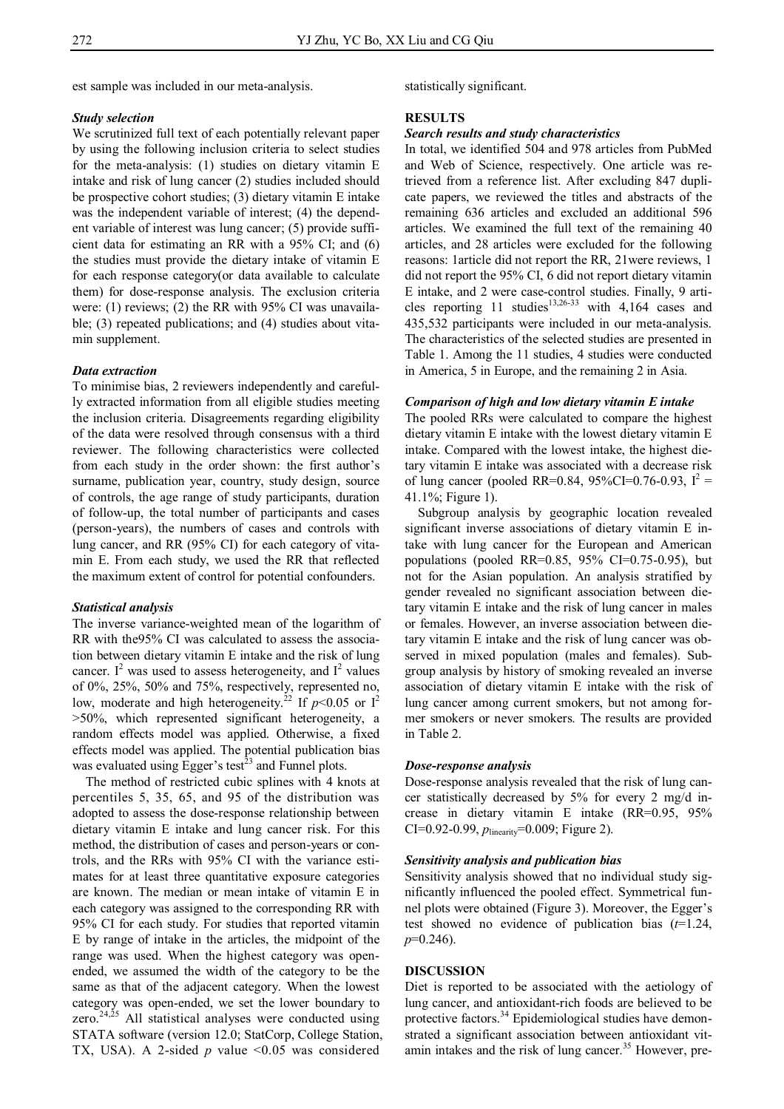est sample was included in our meta-analysis.

# *Study selection*

We scrutinized full text of each potentially relevant paper by using the following inclusion criteria to select studies for the meta-analysis: (1) studies on dietary vitamin E intake and risk of lung cancer (2) studies included should be prospective cohort studies; (3) dietary vitamin E intake was the independent variable of interest; (4) the dependent variable of interest was lung cancer; (5) provide sufficient data for estimating an RR with a 95% CI; and (6) the studies must provide the dietary intake of vitamin E for each response category(or data available to calculate them) for dose-response analysis. The exclusion criteria were: (1) reviews; (2) the RR with 95% CI was unavailable; (3) repeated publications; and (4) studies about vitamin supplement.

# *Data extraction*

To minimise bias, 2 reviewers independently and carefully extracted information from all eligible studies meeting the inclusion criteria. Disagreements regarding eligibility of the data were resolved through consensus with a third reviewer. The following characteristics were collected from each study in the order shown: the first author's surname, publication year, country, study design, source of controls, the age range of study participants, duration of follow-up, the total number of participants and cases (person-years), the numbers of cases and controls with lung cancer, and RR (95% CI) for each category of vitamin E. From each study, we used the RR that reflected the maximum extent of control for potential confounders.

#### *Statistical analysis*

The inverse variance-weighted mean of the logarithm of RR with the95% CI was calculated to assess the association between dietary vitamin E intake and the risk of lung cancer.  $I^2$  was used to assess heterogeneity, and  $I^2$  values of 0%, 25%, 50% and 75%, respectively, represented no, low, moderate and high heterogeneity.<sup>22</sup> If  $p<0.05$  or  $1^2$ >50%, which represented significant heterogeneity, a random effects model was applied. Otherwise, a fixed effects model was applied. The potential publication bias was evaluated using Egger's test<sup>23</sup> and Funnel plots.

The method of restricted cubic splines with 4 knots at percentiles 5, 35, 65, and 95 of the distribution was adopted to assess the dose-response relationship between dietary vitamin E intake and lung cancer risk. For this method, the distribution of cases and person-years or controls, and the RRs with 95% CI with the variance estimates for at least three quantitative exposure categories are known. The median or mean intake of vitamin E in each category was assigned to the corresponding RR with 95% CI for each study. For studies that reported vitamin E by range of intake in the articles, the midpoint of the range was used. When the highest category was openended, we assumed the width of the category to be the same as that of the adjacent category. When the lowest category was open-ended, we set the lower boundary to zero. $24,25$  All statistical analyses were conducted using STATA software (version 12.0; StatCorp, College Station, TX, USA). A 2-sided *p* value <0.05 was considered

statistically significant.

# **RESULTS**

#### *Search results and study characteristics*

In total, we identified 504 and 978 articles from PubMed and Web of Science, respectively. One article was retrieved from a reference list. After excluding 847 duplicate papers, we reviewed the titles and abstracts of the remaining 636 articles and excluded an additional 596 articles. We examined the full text of the remaining 40 articles, and 28 articles were excluded for the following reasons: 1article did not report the RR, 21were reviews, 1 did not report the 95% CI, 6 did not report dietary vitamin E intake, and 2 were case-control studies. Finally, 9 articles reporting 11 studies<sup>13,26-33</sup> with 4,164 cases and 435,532 participants were included in our meta-analysis. The characteristics of the selected studies are presented in Table 1. Among the 11 studies, 4 studies were conducted in America, 5 in Europe, and the remaining 2 in Asia.

# *Comparison of high and low dietary vitamin E intake*

The pooled RRs were calculated to compare the highest dietary vitamin E intake with the lowest dietary vitamin E intake. Compared with the lowest intake, the highest dietary vitamin E intake was associated with a decrease risk of lung cancer (pooled RR=0.84, 95%CI=0.76-0.93,  $I^2 =$ 41.1%; Figure 1).

Subgroup analysis by geographic location revealed significant inverse associations of dietary vitamin E intake with lung cancer for the European and American populations (pooled RR=0.85, 95% CI=0.75-0.95), but not for the Asian population. An analysis stratified by gender revealed no significant association between dietary vitamin E intake and the risk of lung cancer in males or females. However, an inverse association between dietary vitamin E intake and the risk of lung cancer was observed in mixed population (males and females). Subgroup analysis by history of smoking revealed an inverse association of dietary vitamin E intake with the risk of lung cancer among current smokers, but not among former smokers or never smokers. The results are provided in Table 2.

#### *Dose-response analysis*

Dose-response analysis revealed that the risk of lung cancer statistically decreased by 5% for every 2 mg/d increase in dietary vitamin E intake (RR=0.95, 95% CI=0.92-0.99, *p*linearity=0.009; Figure 2).

# *Sensitivity analysis and publication bias*

Sensitivity analysis showed that no individual study significantly influenced the pooled effect. Symmetrical funnel plots were obtained (Figure 3). Moreover, the Egger's test showed no evidence of publication bias (*t*=1.24, *p*=0.246).

# **DISCUSSION**

Diet is reported to be associated with the aetiology of lung cancer, and antioxidant-rich foods are believed to be protective factors.<sup>34</sup> Epidemiological studies have demonstrated a significant association between antioxidant vitamin intakes and the risk of lung cancer.<sup>35</sup> However, pre-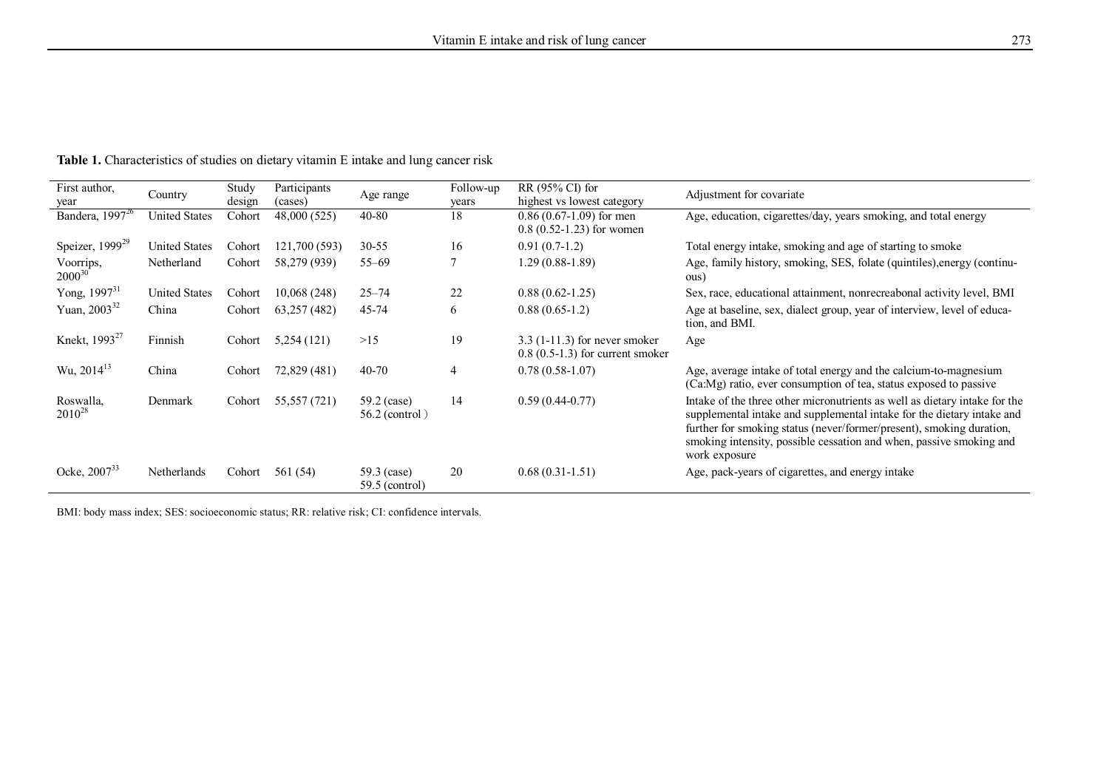| First author,<br>year           | Country              | Study<br>design | Participants<br>(cases) | Age range                       | Follow-up<br>years | $RR(95\% CI)$ for<br>highest vs lowest category                       | Adjustment for covariate                                                                                                                                                                                                                                                                                               |
|---------------------------------|----------------------|-----------------|-------------------------|---------------------------------|--------------------|-----------------------------------------------------------------------|------------------------------------------------------------------------------------------------------------------------------------------------------------------------------------------------------------------------------------------------------------------------------------------------------------------------|
| Bandera, $19\overline{97}^{26}$ | <b>United States</b> | Cohort          | 48,000 (525)            | 40-80                           | 18                 | $0.86(0.67-1.09)$ for men<br>$0.8$ $(0.52 - 1.23)$ for women          | Age, education, cigarettes/day, years smoking, and total energy                                                                                                                                                                                                                                                        |
| Speizer, $1999^{29}$            | <b>United States</b> | Cohort          | 121,700 (593)           | $30 - 55$                       | 16                 | $0.91(0.7-1.2)$                                                       | Total energy intake, smoking and age of starting to smoke                                                                                                                                                                                                                                                              |
| Voorrips,<br>$2000^{30}$        | Netherland           | Cohort          | 58,279 (939)            | $55 - 69$                       |                    | $1.29(0.88-1.89)$                                                     | Age, family history, smoking, SES, folate (quintiles), energy (continu-<br>ous)                                                                                                                                                                                                                                        |
| Yong, $1997^{31}$               | <b>United States</b> | Cohort          | 10,068 (248)            | $25 - 74$                       | 22                 | $0.88(0.62 - 1.25)$                                                   | Sex, race, educational attainment, nonrecreabonal activity level, BMI                                                                                                                                                                                                                                                  |
| Yuan, $2003^{32}$               | China                | Cohort          | 63,257 (482)            | 45-74                           | 6                  | $0.88(0.65-1.2)$                                                      | Age at baseline, sex, dialect group, year of interview, level of educa-<br>tion, and BMI.                                                                                                                                                                                                                              |
| Knekt, 1993 <sup>27</sup>       | Finnish              | Cohort          | 5,254(121)              | >15                             | 19                 | $3.3$ (1-11.3) for never smoker<br>$0.8$ (0.5-1.3) for current smoker | Age                                                                                                                                                                                                                                                                                                                    |
| Wu, $2014^{13}$                 | China                | Cohort          | 72,829 (481)            | 40-70                           | $\overline{4}$     | $0.78(0.58-1.07)$                                                     | Age, average intake of total energy and the calcium-to-magnesium<br>(Ca:Mg) ratio, ever consumption of tea, status exposed to passive                                                                                                                                                                                  |
| Roswalla,<br>$2010^{28}$        | Denmark              | Cohort          | 55,557 (721)            | 59.2 (case)<br>$56.2$ (control) | 14                 | $0.59(0.44-0.77)$                                                     | In take of the three other micronutrients as well as dietary in take for the<br>supplemental intake and supplemental intake for the dietary intake and<br>further for smoking status (never/former/present), smoking duration,<br>smoking intensity, possible cessation and when, passive smoking and<br>work exposure |
| Ocke, $2007^{33}$               | Netherlands          | Cohort          | 561 (54)                | 59.3 (case)<br>$59.5$ (control) | 20                 | $0.68(0.31-1.51)$                                                     | Age, pack-years of cigarettes, and energy intake                                                                                                                                                                                                                                                                       |

**Table 1.** Characteristics of studies on dietary vitamin E intake and lung cancer risk

BMI: body mass index; SES: socioeconomic status; RR: relative risk; CI: confidence intervals.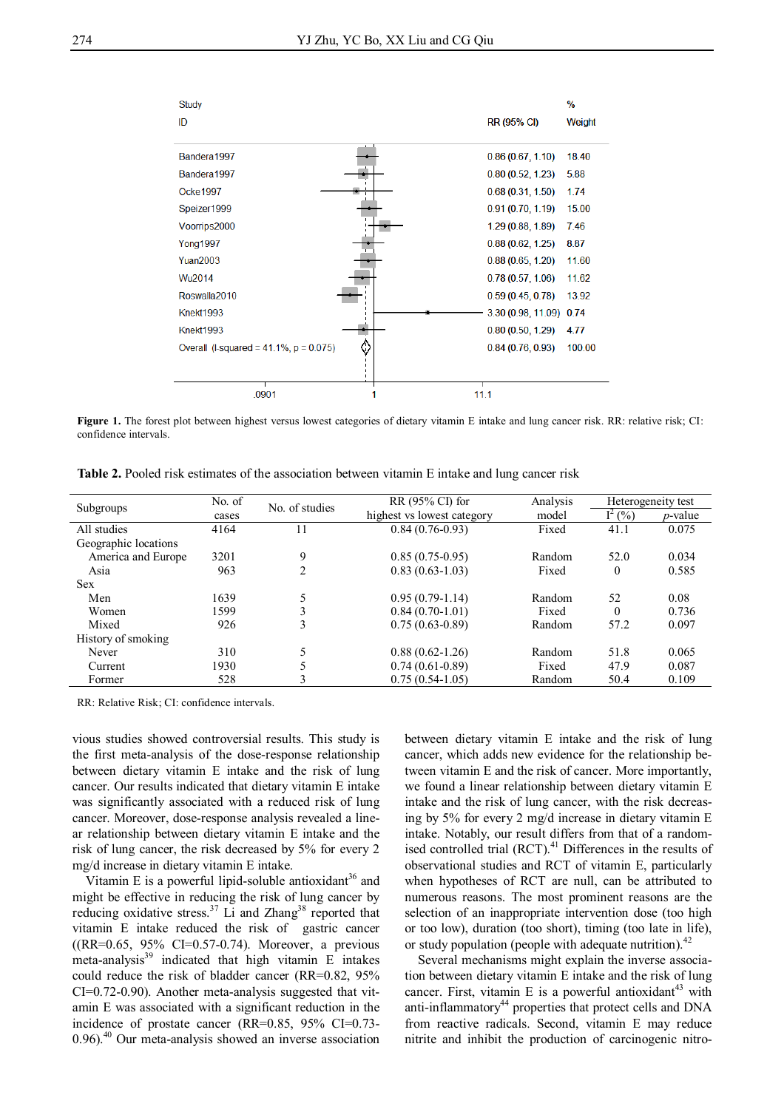

**Figure 1.** The forest plot between highest versus lowest categories of dietary vitamin E intake and lung cancer risk. RR: relative risk; CI: confidence intervals.

**Table 2.** Pooled risk estimates of the association between vitamin E intake and lung cancer risk

| Subgroups            | No. of | No. of studies | RR (95% CI) for            | Analysis | Heterogeneity test |            |
|----------------------|--------|----------------|----------------------------|----------|--------------------|------------|
|                      | cases  |                | highest vs lowest category | model    | $I^2(%)$           | $p$ -value |
| All studies          | 4164   |                | $0.84(0.76-0.93)$          | Fixed    | 41.1               | 0.075      |
| Geographic locations |        |                |                            |          |                    |            |
| America and Europe   | 3201   | 9              | $0.85(0.75-0.95)$          | Random   | 52.0               | 0.034      |
| Asia                 | 963    | 2              | $0.83(0.63-1.03)$          | Fixed    | $\mathbf{0}$       | 0.585      |
| <b>Sex</b>           |        |                |                            |          |                    |            |
| Men                  | 1639   |                | $0.95(0.79-1.14)$          | Random   | 52                 | 0.08       |
| Women                | 1599   | 3              | $0.84(0.70-1.01)$          | Fixed    | $\theta$           | 0.736      |
| Mixed                | 926    | 3              | $0.75(0.63-0.89)$          | Random   | 57.2               | 0.097      |
| History of smoking   |        |                |                            |          |                    |            |
| Never                | 310    |                | $0.88(0.62 - 1.26)$        | Random   | 51.8               | 0.065      |
| Current              | 1930   |                | $0.74(0.61-0.89)$          | Fixed    | 47.9               | 0.087      |
| Former               | 528    |                | $0.75(0.54-1.05)$          | Random   | 50.4               | 0.109      |

RR: Relative Risk; CI: confidence intervals.

vious studies showed controversial results. This study is the first meta-analysis of the dose-response relationship between dietary vitamin E intake and the risk of lung cancer. Our results indicated that dietary vitamin E intake was significantly associated with a reduced risk of lung cancer. Moreover, dose-response analysis revealed a linear relationship between dietary vitamin E intake and the risk of lung cancer, the risk decreased by 5% for every 2 mg/d increase in dietary vitamin E intake.

Vitamin E is a powerful lipid-soluble antioxidant<sup>36</sup> and might be effective in reducing the risk of lung cancer by reducing oxidative stress.<sup>37</sup> Li and Zhang<sup>38</sup> reported that vitamin E intake reduced the risk of gastric cancer ((RR=0.65, 95% CI=0.57-0.74). Moreover, a previous meta-analysis $39$  indicated that high vitamin E intakes could reduce the risk of bladder cancer (RR=0.82, 95% CI=0.72-0.90). Another meta-analysis suggested that vitamin E was associated with a significant reduction in the incidence of prostate cancer (RR=0.85, 95% CI=0.73-  $0.96$ .<sup>40</sup> Our meta-analysis showed an inverse association

between dietary vitamin E intake and the risk of lung cancer, which adds new evidence for the relationship between vitamin E and the risk of cancer. More importantly, we found a linear relationship between dietary vitamin E intake and the risk of lung cancer, with the risk decreasing by 5% for every 2 mg/d increase in dietary vitamin E intake. Notably, our result differs from that of a randomised controlled trial  $(RCT)$ .<sup>41</sup> Differences in the results of observational studies and RCT of vitamin E, particularly when hypotheses of RCT are null, can be attributed to numerous reasons. The most prominent reasons are the selection of an inappropriate intervention dose (too high or too low), duration (too short), timing (too late in life), or study population (people with adequate nutrition). $42$ 

Several mechanisms might explain the inverse association between dietary vitamin E intake and the risk of lung cancer. First, vitamin E is a powerful antioxidant<sup>43</sup> with anti-inflammatory<sup>44</sup> properties that protect cells and DNA from reactive radicals. Second, vitamin E may reduce nitrite and inhibit the production of carcinogenic nitro-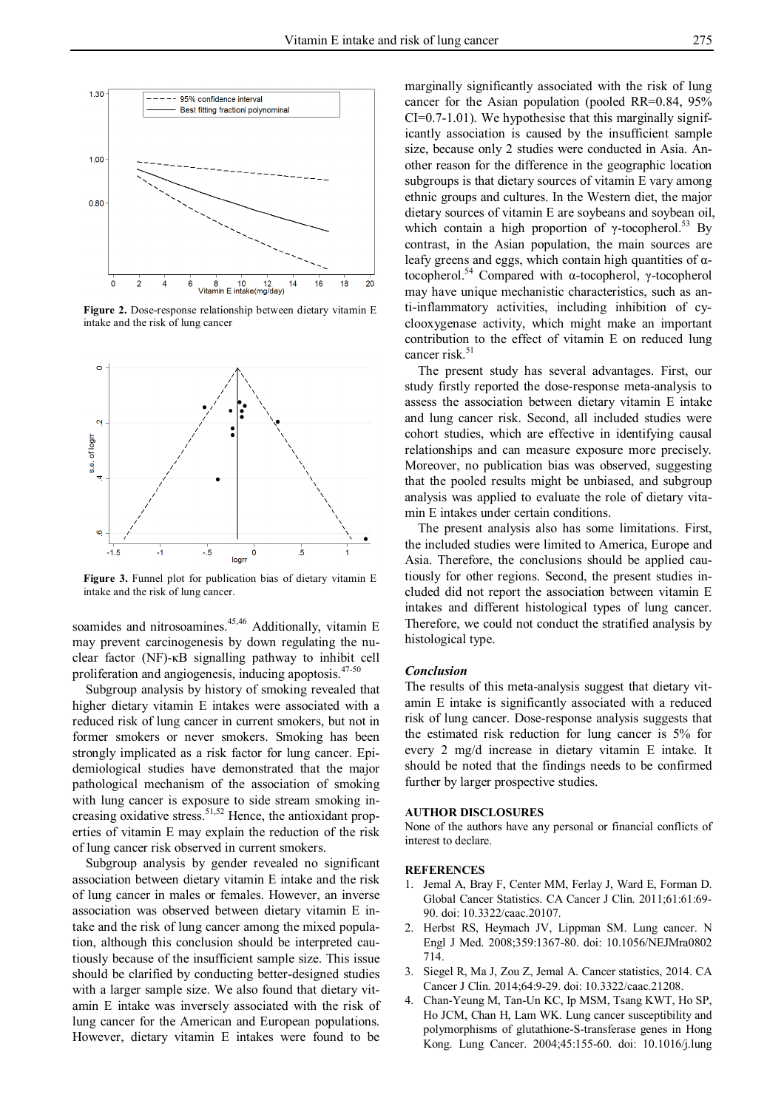

**Figure 2.** Dose-response relationship between dietary vitamin E intake and the risk of lung cancer



**Figure 3.** Funnel plot for publication bias of dietary vitamin E intake and the risk of lung cancer.

soamides and nitrosoamines. $45,46$  Additionally, vitamin E may prevent carcinogenesis by down regulating the nuclear factor (NF)-κB signalling pathway to inhibit cell proliferation and angiogenesis, inducing apoptosis.<sup>47-50</sup>

Subgroup analysis by history of smoking revealed that higher dietary vitamin E intakes were associated with a reduced risk of lung cancer in current smokers, but not in former smokers or never smokers. Smoking has been strongly implicated as a risk factor for lung cancer. Epidemiological studies have demonstrated that the major pathological mechanism of the association of smoking with lung cancer is exposure to side stream smoking increasing oxidative stress.<sup>51,52</sup> Hence, the antioxidant properties of vitamin E may explain the reduction of the risk of lung cancer risk observed in current smokers.

Subgroup analysis by gender revealed no significant association between dietary vitamin E intake and the risk of lung cancer in males or females. However, an inverse association was observed between dietary vitamin E intake and the risk of lung cancer among the mixed population, although this conclusion should be interpreted cautiously because of the insufficient sample size. This issue should be clarified by conducting better-designed studies with a larger sample size. We also found that dietary vitamin E intake was inversely associated with the risk of lung cancer for the American and European populations. However, dietary vitamin E intakes were found to be

marginally significantly associated with the risk of lung cancer for the Asian population (pooled RR=0.84, 95%  $CI=0.7-1.01$ ). We hypothesise that this marginally significantly association is caused by the insufficient sample size, because only 2 studies were conducted in Asia. Another reason for the difference in the geographic location subgroups is that dietary sources of vitamin E vary among ethnic groups and cultures. In the Western diet, the major dietary sources of vitamin E are soybeans and soybean oil, which contain a high proportion of  $\gamma$ -tocopherol.<sup>53</sup> By contrast, in the Asian population, the main sources are leafy greens and eggs, which contain high quantities of  $\alpha$ tocopherol.<sup>54</sup> Compared with α-tocopherol, γ-tocopherol may have unique mechanistic characteristics, such as anti-inflammatory activities, including inhibition of cyclooxygenase activity, which might make an important contribution to the effect of vitamin E on reduced lung cancer risk.<sup>51</sup>

The present study has several advantages. First, our study firstly reported the dose-response meta-analysis to assess the association between dietary vitamin E intake and lung cancer risk. Second, all included studies were cohort studies, which are effective in identifying causal relationships and can measure exposure more precisely. Moreover, no publication bias was observed, suggesting that the pooled results might be unbiased, and subgroup analysis was applied to evaluate the role of dietary vitamin E intakes under certain conditions.

The present analysis also has some limitations. First, the included studies were limited to America, Europe and Asia. Therefore, the conclusions should be applied cautiously for other regions. Second, the present studies included did not report the association between vitamin E intakes and different histological types of lung cancer. Therefore, we could not conduct the stratified analysis by histological type.

#### *Conclusion*

The results of this meta-analysis suggest that dietary vitamin E intake is significantly associated with a reduced risk of lung cancer. Dose-response analysis suggests that the estimated risk reduction for lung cancer is 5% for every 2 mg/d increase in dietary vitamin E intake. It should be noted that the findings needs to be confirmed further by larger prospective studies.

# **AUTHOR DISCLOSURES**

None of the authors have any personal or financial conflicts of interest to declare.

# **REFERENCES**

- 1. Jemal A, Bray F, Center MM, Ferlay J, Ward E, Forman D. Global Cancer Statistics. CA Cancer J Clin. 2011;61:61:69- 90. doi: 10.3322/caac.20107.
- 2. Herbst RS, Heymach JV, Lippman SM. Lung cancer. N Engl J Med. 2008;359:1367-80. doi: 10.1056/NEJMra0802 714.
- 3. Siegel R, Ma J, Zou Z, Jemal A. Cancer statistics, 2014. CA Cancer J Clin. 2014;64:9-29. doi: 10.3322/caac.21208.
- 4. Chan-Yeung M, Tan-Un KC, Ip MSM, Tsang KWT, Ho SP, Ho JCM, Chan H, Lam WK. Lung cancer susceptibility and polymorphisms of glutathione-S-transferase genes in Hong Kong. Lung Cancer. 2004;45:155-60. doi: 10.1016/j.lung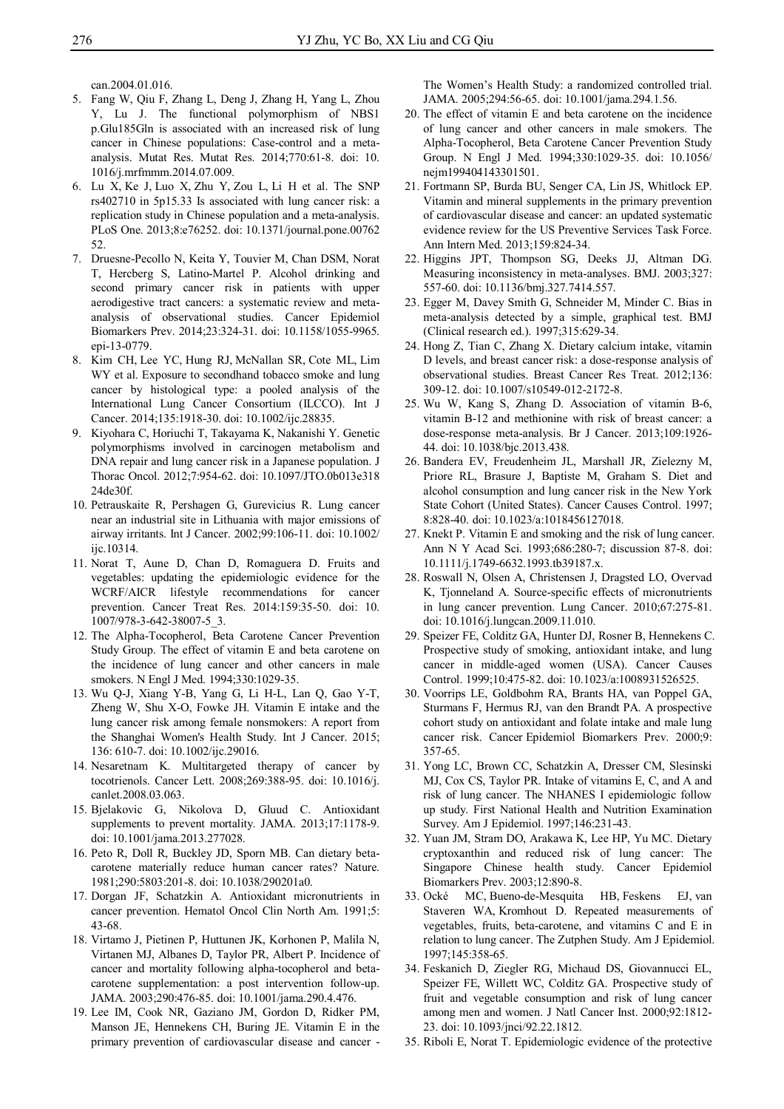can.2004.01.016.

- 5. Fang W, Qiu F, Zhang L, Deng J, Zhang H, Yang L, Zhou Y, Lu J. The functional polymorphism of NBS1 p.Glu185Gln is associated with an increased risk of lung cancer in Chinese populations: Case-control and a metaanalysis. Mutat Res. Mutat Res. 2014;770:61-8. doi: 10. 1016/j.mrfmmm.2014.07.009.
- 6. Lu X, Ke J, Luo X, Zhu Y, Zou L, Li H et al. The SNP rs402710 in 5p15.33 Is associated with lung cancer risk: a replication study in Chinese population and a meta-analysis. PLoS One. 2013;8:e76252. doi: 10.1371/journal.pone.00762 52.
- 7. Druesne-Pecollo N, Keita Y, Touvier M, Chan DSM, Norat T, Hercberg S, Latino-Martel P. Alcohol drinking and second primary cancer risk in patients with upper aerodigestive tract cancers: a systematic review and metaanalysis of observational studies. Cancer Epidemiol Biomarkers Prev. 2014;23:324-31. doi: 10.1158/1055-9965. epi-13-0779.
- 8. Kim CH, Lee YC, Hung RJ, McNallan SR, Cote ML, Lim WY et al. Exposure to secondhand tobacco smoke and lung cancer by histological type: a pooled analysis of the International Lung Cancer Consortium (ILCCO). Int J Cancer. 2014;135:1918-30. doi: 10.1002/ijc.28835.
- 9. Kiyohara C, Horiuchi T, Takayama K, Nakanishi Y. Genetic polymorphisms involved in carcinogen metabolism and DNA repair and lung cancer risk in a Japanese population. J Thorac Oncol. 2012;7:954-62. doi: 10.1097/JTO.0b013e318 24de30f.
- 10. Petrauskaite R, Pershagen G, Gurevicius R. Lung cancer near an industrial site in Lithuania with major emissions of airway irritants. Int J Cancer. 2002;99:106-11. doi: 10.1002/ ijc.10314.
- 11. Norat T, Aune D, Chan D, Romaguera D. Fruits and vegetables: updating the epidemiologic evidence for the WCRF/AICR lifestyle recommendations for cancer prevention. Cancer Treat Res. 2014:159:35-50. doi: 10. 1007/978-3-642-38007-5\_3.
- 12. The Alpha-Tocopherol, Beta Carotene Cancer Prevention Study Group. The effect of vitamin E and beta carotene on the incidence of lung cancer and other cancers in male smokers. N Engl J Med. 1994;330:1029-35.
- 13. Wu Q-J, Xiang Y-B, Yang G, Li H-L, Lan Q, Gao Y-T, Zheng W, Shu X-O, Fowke JH. Vitamin E intake and the lung cancer risk among female nonsmokers: A report from the Shanghai Women's Health Study. Int J Cancer. 2015; 136: 610-7. doi: 10.1002/ijc.29016.
- 14. Nesaretnam K. Multitargeted therapy of cancer by tocotrienols. Cancer Lett. 2008;269:388-95. doi: 10.1016/j. canlet.2008.03.063.
- 15. Bjelakovic G, Nikolova D, Gluud C. Antioxidant supplements to prevent mortality. JAMA. 2013;17:1178-9. doi: 10.1001/jama.2013.277028.
- 16. Peto R, Doll R, Buckley JD, Sporn MB. Can dietary betacarotene materially reduce human cancer rates? Nature. 1981;290:5803:201-8. doi: 10.1038/290201a0.
- 17. Dorgan JF, Schatzkin A. Antioxidant micronutrients in cancer prevention. Hematol Oncol Clin North Am. 1991;5: 43-68.
- 18. Virtamo J, Pietinen P, Huttunen JK, Korhonen P, Malila N, Virtanen MJ, Albanes D, Taylor PR, Albert P. Incidence of cancer and mortality following alpha-tocopherol and betacarotene supplementation: a post intervention follow-up. JAMA. 2003;290:476-85. doi: 10.1001/jama.290.4.476.
- 19. Lee IM, Cook NR, Gaziano JM, Gordon D, Ridker PM, Manson JE, Hennekens CH, Buring JE. Vitamin E in the primary prevention of cardiovascular disease and cancer -

The Women's Health Study: a randomized controlled trial. JAMA. 2005;294:56-65. doi: 10.1001/jama.294.1.56.

- 20. The effect of vitamin E and beta carotene on the incidence of lung cancer and other cancers in male smokers. The Alpha-Tocopherol, Beta Carotene Cancer Prevention Study Group. N Engl J Med. 1994;330:1029-35. doi: 10.1056/ nejm199404143301501.
- 21. Fortmann SP, Burda BU, Senger CA, Lin JS, Whitlock EP. Vitamin and mineral supplements in the primary prevention of cardiovascular disease and cancer: an updated systematic evidence review for the US Preventive Services Task Force. Ann Intern Med. 2013;159:824-34.
- 22. Higgins JPT, Thompson SG, Deeks JJ, Altman DG. Measuring inconsistency in meta-analyses. BMJ. 2003;327: 557-60. doi: 10.1136/bmj.327.7414.557.
- 23. Egger M, Davey Smith G, Schneider M, Minder C. Bias in meta-analysis detected by a simple, graphical test. BMJ (Clinical research ed.). 1997;315:629-34.
- 24. Hong Z, Tian C, Zhang X. Dietary calcium intake, vitamin D levels, and breast cancer risk: a dose-response analysis of observational studies. Breast Cancer Res Treat. 2012;136: 309-12. doi: 10.1007/s10549-012-2172-8.
- 25. Wu W, Kang S, Zhang D. Association of vitamin B-6, vitamin B-12 and methionine with risk of breast cancer: a dose-response meta-analysis. Br J Cancer. 2013;109:1926- 44. doi: 10.1038/bjc.2013.438.
- 26. Bandera EV, Freudenheim JL, Marshall JR, Zielezny M, Priore RL, Brasure J, Baptiste M, Graham S. Diet and alcohol consumption and lung cancer risk in the New York State Cohort (United States). Cancer Causes Control. 1997; 8:828-40. doi: 10.1023/a:1018456127018.
- 27. Knekt P. Vitamin E and smoking and the risk of lung cancer. Ann N Y Acad Sci. 1993;686:280-7; discussion 87-8. doi: 10.1111/j.1749-6632.1993.tb39187.x.
- 28. Roswall N, Olsen A, Christensen J, Dragsted LO, Overvad K, Tjonneland A. Source-specific effects of micronutrients in lung cancer prevention. Lung Cancer. 2010;67:275-81. doi: 10.1016/j.lungcan.2009.11.010.
- 29. Speizer FE, Colditz GA, Hunter DJ, Rosner B, Hennekens C. Prospective study of smoking, antioxidant intake, and lung cancer in middle-aged women (USA). Cancer Causes Control. 1999;10:475-82. doi: 10.1023/a:1008931526525.
- 30. Voorrips LE, Goldbohm RA, Brants HA, van Poppel GA, Sturmans F, Hermus RJ, van den Brandt PA. A prospective cohort study on antioxidant and folate intake and male lung cancer risk. Cancer Epidemiol Biomarkers Prev. 2000;9: 357-65.
- 31. Yong LC, Brown CC, Schatzkin A, Dresser CM, Slesinski MJ, Cox CS, Taylor PR. Intake of vitamins E, C, and A and risk of lung cancer. The NHANES I epidemiologic follow up study. First National Health and Nutrition Examination Survey. Am J Epidemiol. 1997;146:231-43.
- 32. Yuan JM, Stram DO, Arakawa K, Lee HP, Yu MC. Dietary cryptoxanthin and reduced risk of lung cancer: The Singapore Chinese health study. Cancer Epidemiol Biomarkers Prev. 2003;12:890-8.
- 33. Ocké MC, Bueno-de-Mesquita HB, Feskens EJ, van Staveren WA, Kromhout D. Repeated measurements of vegetables, fruits, beta-carotene, and vitamins C and E in relation to lung cancer. The Zutphen Study. Am J Epidemiol. 1997;145:358-65.
- 34. Feskanich D, Ziegler RG, Michaud DS, Giovannucci EL, Speizer FE, Willett WC, Colditz GA. Prospective study of fruit and vegetable consumption and risk of lung cancer among men and women. J Natl Cancer Inst. 2000;92:1812- 23. doi: 10.1093/jnci/92.22.1812.
- 35. Riboli E, Norat T. Epidemiologic evidence of the protective